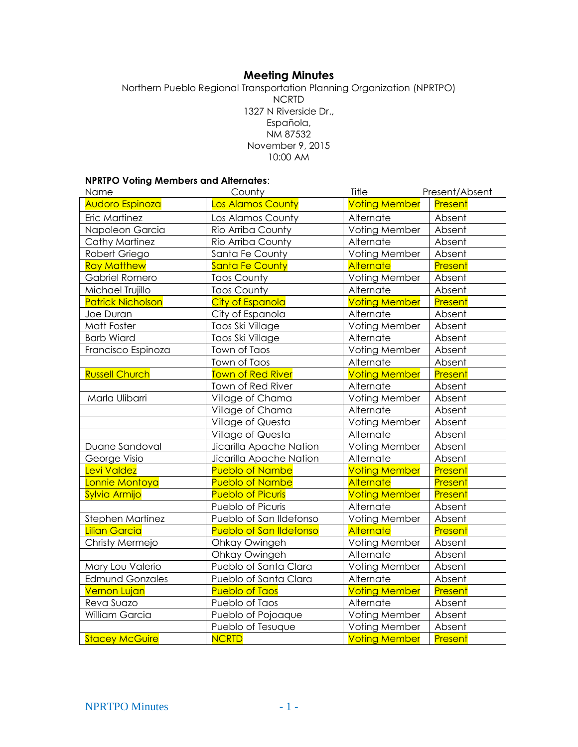# **Meeting Minutes**

Northern Pueblo Regional Transportation Planning Organization (NPRTPO) NCRTD 1327 N Riverside Dr., Española, NM 87532 November 9, 2015 10:00 AM

## **NPRTPO Voting Members and Alternates**:

| Name                     | County                         | Title                | Present/Absent |
|--------------------------|--------------------------------|----------------------|----------------|
| Audoro Espinoza          | <b>Los Alamos County</b>       | <b>Voting Member</b> | Present        |
| Eric Martinez            | Los Alamos County              | Alternate            | Absent         |
| Napoleon Garcia          | Rio Arriba County              | Voting Member        | Absent         |
| <b>Cathy Martinez</b>    | Rio Arriba County              | Alternate            | Absent         |
| Robert Griego            | Santa Fe County                | Voting Member        | Absent         |
| <b>Ray Matthew</b>       | <b>Santa Fe County</b>         | Alternate            | Present        |
| Gabriel Romero           | <b>Taos County</b>             | Voting Member        | Absent         |
| Michael Trujillo         | <b>Taos County</b>             | Alternate            | Absent         |
| <b>Patrick Nicholson</b> | City of Espanola               | <b>Voting Member</b> | Present        |
| Joe Duran                | City of Espanola               | Alternate            | Absent         |
| Matt Foster              | Taos Ski Village               | Voting Member        | Absent         |
| <b>Barb Wiard</b>        | Taos Ski Village               | Alternate            | Absent         |
| Francisco Espinoza       | Town of Taos                   | Voting Member        | Absent         |
|                          | Town of Taos                   | Alternate            | Absent         |
| <b>Russell Church</b>    | <b>Town of Red River</b>       | <b>Voting Member</b> | Present        |
|                          | Town of Red River              | Alternate            | Absent         |
| Marla Ulibarri           | Village of Chama               | Voting Member        | Absent         |
|                          | Village of Chama               | Alternate            | Absent         |
|                          | Village of Questa              | Voting Member        | Absent         |
|                          | Village of Questa              | Alternate            | Absent         |
| Duane Sandoval           | Jicarilla Apache Nation        | Voting Member        | Absent         |
| George Visio             | Jicarilla Apache Nation        | Alternate            | Absent         |
| Levi Valdez              | <b>Pueblo of Nambe</b>         | <b>Voting Member</b> | Present        |
| Lonnie Montoya           | <b>Pueblo of Nambe</b>         | Alternate            | Present        |
| Sylvia Armijo            | <b>Pueblo of Picuris</b>       | <b>Voting Member</b> | Present        |
|                          | Pueblo of Picuris              | Alternate            | Absent         |
| Stephen Martinez         | Pueblo of San Ildefonso        | Voting Member        | Absent         |
| <b>Lilian Garcia</b>     | <b>Pueblo of San Ildefonso</b> | Alternate            | Present        |
| Christy Mermejo          | Ohkay Owingeh                  | Voting Member        | Absent         |
|                          | Ohkay Owingeh                  | Alternate            | Absent         |
| Mary Lou Valerio         | Pueblo of Santa Clara          | Voting Member        | Absent         |
| <b>Edmund Gonzales</b>   | Pueblo of Santa Clara          | Alternate            | Absent         |
| <b>Vernon Lujan</b>      | <b>Pueblo of Taos</b>          | <b>Voting Member</b> | Present        |
| Reva Suazo               | Pueblo of Taos                 | Alternate            | Absent         |
| William Garcia           | Pueblo of Pojoaque             | Voting Member        | Absent         |
|                          | Pueblo of Tesuque              | Voting Member        | Absent         |
| <b>Stacey McGuire</b>    | <b>NCRTD</b>                   | <b>Voting Member</b> | Present        |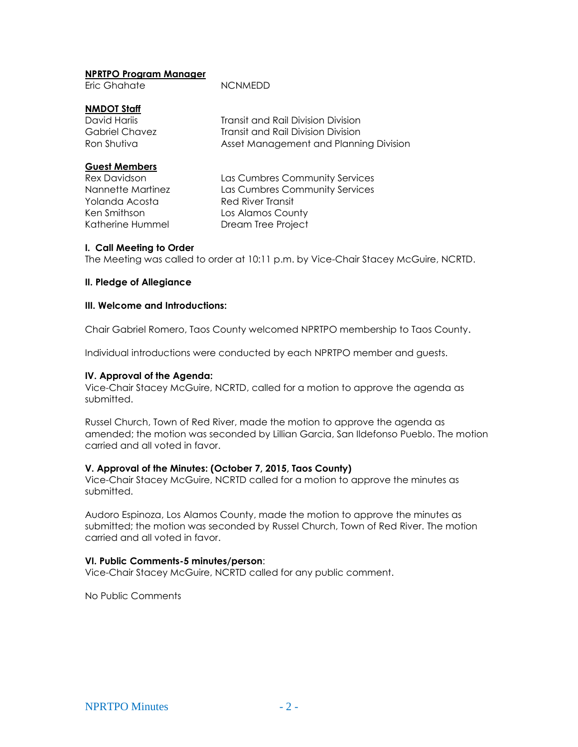# **NPRTPO Program Manager**

Eric Ghahate NCNMEDD

# **NMDOT Staff**

| David Hariis         | <b>Transit and Rail Division Division</b> |  |
|----------------------|-------------------------------------------|--|
| Gabriel Chavez       | Transit and Rail Division Division        |  |
| Ron Shutiva          | Asset Management and Planning Division    |  |
| <b>Guest Members</b> |                                           |  |
| <b>Rex Davidson</b>  | Las Cumbres Community Services            |  |
| Nappotto Martinoz    | Las Cumbros Community Sonicos             |  |

Yolanda Acosta **Red River Transit** Ken Smithson Los Alamos County Katherine Hummel Dream Tree Project

Nannette Martinez Las Cumbres Community Services

# **I. Call Meeting to Order**

The Meeting was called to order at 10:11 p.m. by Vice-Chair Stacey McGuire, NCRTD.

# **II. Pledge of Allegiance**

## **III. Welcome and Introductions:**

Chair Gabriel Romero, Taos County welcomed NPRTPO membership to Taos County.

Individual introductions were conducted by each NPRTPO member and guests.

# **IV. Approval of the Agenda:**

Vice-Chair Stacey McGuire, NCRTD, called for a motion to approve the agenda as submitted.

Russel Church, Town of Red River, made the motion to approve the agenda as amended; the motion was seconded by Lillian Garcia, San Ildefonso Pueblo. The motion carried and all voted in favor.

## **V. Approval of the Minutes: (October 7, 2015, Taos County)**

Vice-Chair Stacey McGuire, NCRTD called for a motion to approve the minutes as submitted.

Audoro Espinoza, Los Alamos County, made the motion to approve the minutes as submitted; the motion was seconded by Russel Church, Town of Red River. The motion carried and all voted in favor.

## **VI. Public Comments-5 minutes/person**:

Vice-Chair Stacey McGuire, NCRTD called for any public comment.

No Public Comments